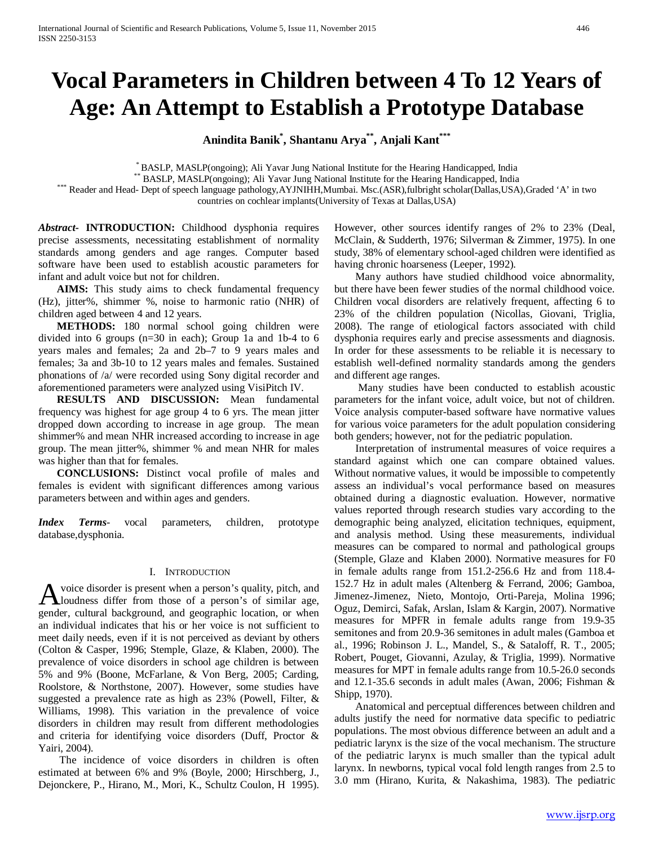# **Vocal Parameters in Children between 4 To 12 Years of Age: An Attempt to Establish a Prototype Database**

**Anindita Banik\* , Shantanu Arya\*\*, Anjali Kant\*\*\***

\*BASLP, MASLP(ongoing); Ali Yavar Jung National Institute for the Hearing Handicapped, India<br>\*\*BASLP, MASLP(ongoing); Ali Yavar Jung National Institute for the Hearing Handicapped, India<br>Reader and Head- Dept of speech lan

countries on cochlear implants(University of Texas at Dallas,USA)

*Abstract***- INTRODUCTION:** Childhood dysphonia requires precise assessments, necessitating establishment of normality standards among genders and age ranges. Computer based software have been used to establish acoustic parameters for infant and adult voice but not for children.

 **AIMS:** This study aims to check fundamental frequency (Hz), jitter%, shimmer %, noise to harmonic ratio (NHR) of children aged between 4 and 12 years.

**METHODS:** 180 normal school going children were divided into 6 groups (n=30 in each); Group 1a and 1b-4 to 6 years males and females; 2a and 2b–7 to 9 years males and females; 3a and 3b-10 to 12 years males and females. Sustained phonations of /a/ were recorded using Sony digital recorder and aforementioned parameters were analyzed using VisiPitch IV.

 **RESULTS AND DISCUSSION:** Mean fundamental frequency was highest for age group 4 to 6 yrs. The mean jitter dropped down according to increase in age group. The mean shimmer% and mean NHR increased according to increase in age group. The mean jitter%, shimmer % and mean NHR for males was higher than that for females.

 **CONCLUSIONS:** Distinct vocal profile of males and females is evident with significant differences among various parameters between and within ages and genders.

*Index Terms*- vocal parameters, children, prototype database,dysphonia.

#### I. INTRODUCTION

voice disorder is present when a person's quality, pitch, and A voice disorder is present when a person's quality, pitch, and loudness differ from those of a person's of similar age, gender, cultural background, and geographic location, or when an individual indicates that his or her voice is not sufficient to meet daily needs, even if it is not perceived as deviant by others (Colton & Casper, 1996; Stemple, Glaze, & Klaben, 2000). The prevalence of voice disorders in school age children is between 5% and 9% (Boone, McFarlane, & Von Berg, 2005; Carding, Roolstore, & Northstone, 2007). However, some studies have suggested a prevalence rate as high as 23% (Powell, Filter, & Williams, 1998). This variation in the prevalence of voice disorders in children may result from different methodologies and criteria for identifying voice disorders (Duff, Proctor & Yairi, 2004).

 The incidence of voice disorders in children is often estimated at between 6% and 9% (Boyle, 2000; Hirschberg, J., Dejonckere, P., Hirano, M., Mori, K., Schultz Coulon, H 1995). However, other sources identify ranges of 2% to 23% (Deal, McClain, & Sudderth, 1976; Silverman & Zimmer, 1975). In one study, 38% of elementary school-aged children were identified as having chronic hoarseness (Leeper, 1992).

 Many authors have studied childhood voice abnormality, but there have been fewer studies of the normal childhood voice. Children vocal disorders are relatively frequent, affecting 6 to 23% of the children population (Nicollas, Giovani, Triglia, 2008). The range of etiological factors associated with child dysphonia requires early and precise assessments and diagnosis. In order for these assessments to be reliable it is necessary to establish well-defined normality standards among the genders and different age ranges.

 Many studies have been conducted to establish acoustic parameters for the infant voice, adult voice, but not of children. Voice analysis computer-based software have normative values for various voice parameters for the adult population considering both genders; however, not for the pediatric population.

 Interpretation of instrumental measures of voice requires a standard against which one can compare obtained values. Without normative values, it would be impossible to competently assess an individual's vocal performance based on measures obtained during a diagnostic evaluation. However, normative values reported through research studies vary according to the demographic being analyzed, elicitation techniques, equipment, and analysis method. Using these measurements, individual measures can be compared to normal and pathological groups (Stemple, Glaze and Klaben 2000). Normative measures for F0 in female adults range from 151.2-256.6 Hz and from 118.4- 152.7 Hz in adult males (Altenberg & Ferrand, 2006; Gamboa, Jimenez-Jimenez, Nieto, Montojo, Orti-Pareja, Molina 1996; Oguz, Demirci, Safak, Arslan, Islam & Kargin, 2007). Normative measures for MPFR in female adults range from 19.9-35 semitones and from 20.9-36 semitones in adult males (Gamboa et al., 1996; Robinson J. L., Mandel, S., & Sataloff, R. T., 2005; Robert, Pouget, Giovanni, Azulay, & Triglia, 1999). Normative measures for MPT in female adults range from 10.5-26.0 seconds and 12.1-35.6 seconds in adult males (Awan, 2006; Fishman & Shipp, 1970).

 Anatomical and perceptual differences between children and adults justify the need for normative data specific to pediatric populations. The most obvious difference between an adult and a pediatric larynx is the size of the vocal mechanism. The structure of the pediatric larynx is much smaller than the typical adult larynx. In newborns, typical vocal fold length ranges from 2.5 to 3.0 mm (Hirano, Kurita, & Nakashima, 1983). The pediatric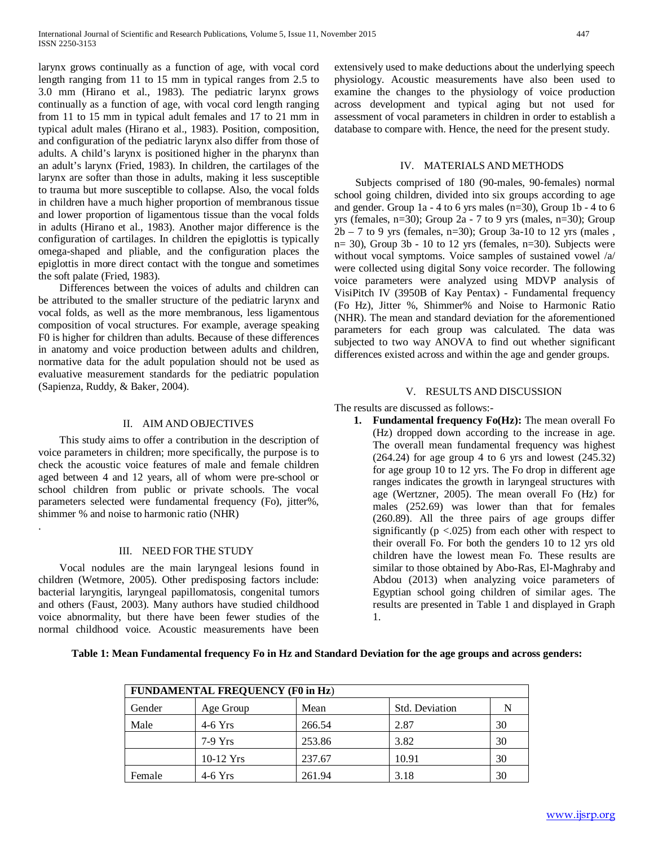larynx grows continually as a function of age, with vocal cord length ranging from 11 to 15 mm in typical ranges from 2.5 to 3.0 mm (Hirano et al., 1983). The pediatric larynx grows continually as a function of age, with vocal cord length ranging from 11 to 15 mm in typical adult females and 17 to 21 mm in typical adult males (Hirano et al., 1983). Position, composition, and configuration of the pediatric larynx also differ from those of adults. A child's larynx is positioned higher in the pharynx than an adult's larynx (Fried, 1983). In children, the cartilages of the larynx are softer than those in adults, making it less susceptible to trauma but more susceptible to collapse. Also, the vocal folds in children have a much higher proportion of membranous tissue and lower proportion of ligamentous tissue than the vocal folds in adults (Hirano et al., 1983). Another major difference is the configuration of cartilages. In children the epiglottis is typically omega-shaped and pliable, and the configuration places the epiglottis in more direct contact with the tongue and sometimes the soft palate (Fried, 1983).

 Differences between the voices of adults and children can be attributed to the smaller structure of the pediatric larynx and vocal folds, as well as the more membranous, less ligamentous composition of vocal structures. For example, average speaking F0 is higher for children than adults. Because of these differences in anatomy and voice production between adults and children, normative data for the adult population should not be used as evaluative measurement standards for the pediatric population (Sapienza, Ruddy, & Baker, 2004).

## II. AIM AND OBJECTIVES

 This study aims to offer a contribution in the description of voice parameters in children; more specifically, the purpose is to check the acoustic voice features of male and female children aged between 4 and 12 years, all of whom were pre-school or school children from public or private schools. The vocal parameters selected were fundamental frequency (Fo), jitter%, shimmer % and noise to harmonic ratio (NHR)

.

#### III. NEED FORTHE STUDY

 Vocal nodules are the main laryngeal lesions found in children (Wetmore, 2005). Other predisposing factors include: bacterial laryngitis, laryngeal papillomatosis, congenital tumors and others (Faust, 2003). Many authors have studied childhood voice abnormality, but there have been fewer studies of the normal childhood voice. Acoustic measurements have been

#### IV. MATERIALS AND METHODS

 Subjects comprised of 180 (90-males, 90-females) normal school going children, divided into six groups according to age and gender. Group 1a - 4 to 6 yrs males ( $n=30$ ), Group 1b - 4 to 6 yrs (females, n=30); Group 2a - 7 to 9 yrs (males, n=30); Group  $2b - 7$  to 9 yrs (females, n=30); Group 3a-10 to 12 yrs (males,  $n= 30$ ), Group 3b - 10 to 12 yrs (females,  $n=30$ ). Subjects were without vocal symptoms. Voice samples of sustained vowel /a/ were collected using digital Sony voice recorder. The following voice parameters were analyzed using MDVP analysis of VisiPitch IV (3950B of Kay Pentax) - Fundamental frequency (Fo Hz), Jitter %, Shimmer% and Noise to Harmonic Ratio (NHR). The mean and standard deviation for the aforementioned parameters for each group was calculated. The data was subjected to two way ANOVA to find out whether significant differences existed across and within the age and gender groups.

#### V. RESULTS AND DISCUSSION

The results are discussed as follows:-

**1. Fundamental frequency Fo(Hz):** The mean overall Fo (Hz) dropped down according to the increase in age. The overall mean fundamental frequency was highest (264.24) for age group 4 to 6 yrs and lowest (245.32) for age group 10 to 12 yrs. The Fo drop in different age ranges indicates the growth in laryngeal structures with age (Wertzner, 2005). The mean overall Fo (Hz) for males (252.69) was lower than that for females (260.89). All the three pairs of age groups differ significantly ( $p$  <.025) from each other with respect to their overall Fo. For both the genders 10 to 12 yrs old children have the lowest mean Fo. These results are similar to those obtained by Abo-Ras, El-Maghraby and Abdou (2013) when analyzing voice parameters of Egyptian school going children of similar ages. The results are presented in Table 1 and displayed in Graph 1.

| FUNDAMENTAL FREQUENCY (F0 in Hz) |             |        |                       |    |  |
|----------------------------------|-------------|--------|-----------------------|----|--|
| Gender                           | Age Group   | Mean   | <b>Std. Deviation</b> | N  |  |
| Male                             | $4-6$ Yrs   | 266.54 | 2.87                  | 30 |  |
|                                  | $7-9$ Yrs   | 253.86 | 3.82                  | 30 |  |
|                                  | $10-12$ Yrs | 237.67 | 10.91                 | 30 |  |
| Female                           | $4-6$ Yrs   | 261.94 | 3.18                  | 30 |  |

**Table 1: Mean Fundamental frequency Fo in Hz and Standard Deviation for the age groups and across genders:**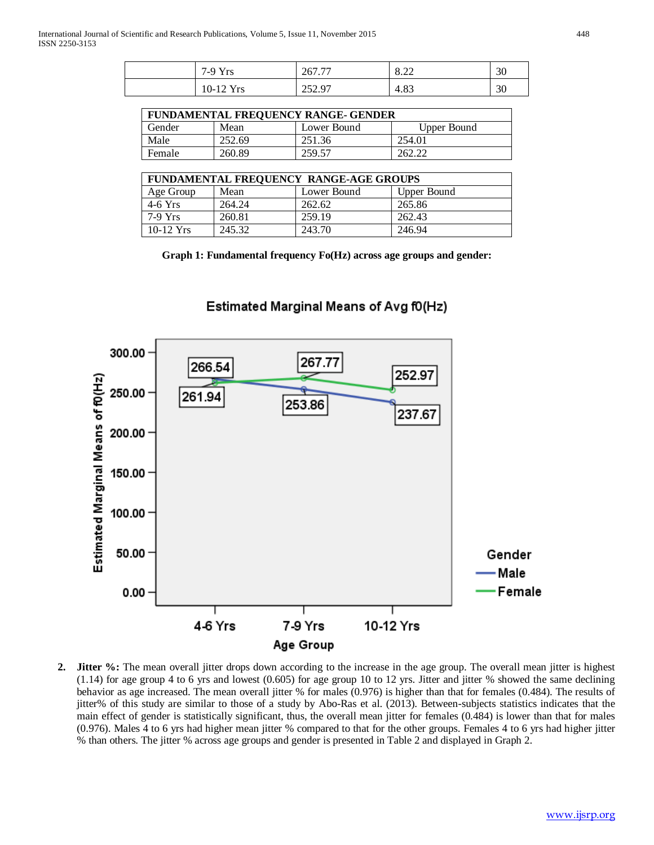4-6 Yrs

| $7-9$ Yrs | 267.77 | 0.22<br>0.22 | 30 |
|-----------|--------|--------------|----|
| 10-12 Yrs | 252.97 | 4.83         | 30 |

| <b>FUNDAMENTAL FREQUENCY RANGE- GENDER</b> |        |             |             |  |
|--------------------------------------------|--------|-------------|-------------|--|
| Gender                                     | Mean   | Lower Bound | Upper Bound |  |
| Male                                       | 252.69 | 251.36      | 254.01      |  |
| Female                                     | 260.89 | 259.57      | 262.22      |  |

| FUNDAMENTAL FREQUENCY RANGE-AGE GROUPS |        |             |             |
|----------------------------------------|--------|-------------|-------------|
| Age Group                              | Mean   | Lower Bound | Upper Bound |
| $4-6$ Yrs                              | 264.24 | 262.62      | 265.86      |
| $7-9$ Yrs                              | 260.81 | 259.19      | 262.43      |
| $10-12$ Yrs                            | 245.32 | 243.70      | 246.94      |

**Graph 1: Fundamental frequency Fo(Hz) across age groups and gender:**



7-9 Yrs

Age Group

# Estimated Marginal Means of Avg f0(Hz)

**2. Jitter %:** The mean overall jitter drops down according to the increase in the age group. The overall mean jitter is highest (1.14) for age group 4 to 6 yrs and lowest (0.605) for age group 10 to 12 yrs. Jitter and jitter % showed the same declining behavior as age increased. The mean overall jitter % for males (0.976) is higher than that for females (0.484). The results of jitter% of this study are similar to those of a study by Abo-Ras et al. (2013). Between-subjects statistics indicates that the main effect of gender is statistically significant, thus, the overall mean jitter for females (0.484) is lower than that for males (0.976). Males 4 to 6 yrs had higher mean jitter % compared to that for the other groups. Females 4 to 6 yrs had higher jitter % than others. The jitter % across age groups and gender is presented in Table 2 and displayed in Graph 2.

10-12 Yrs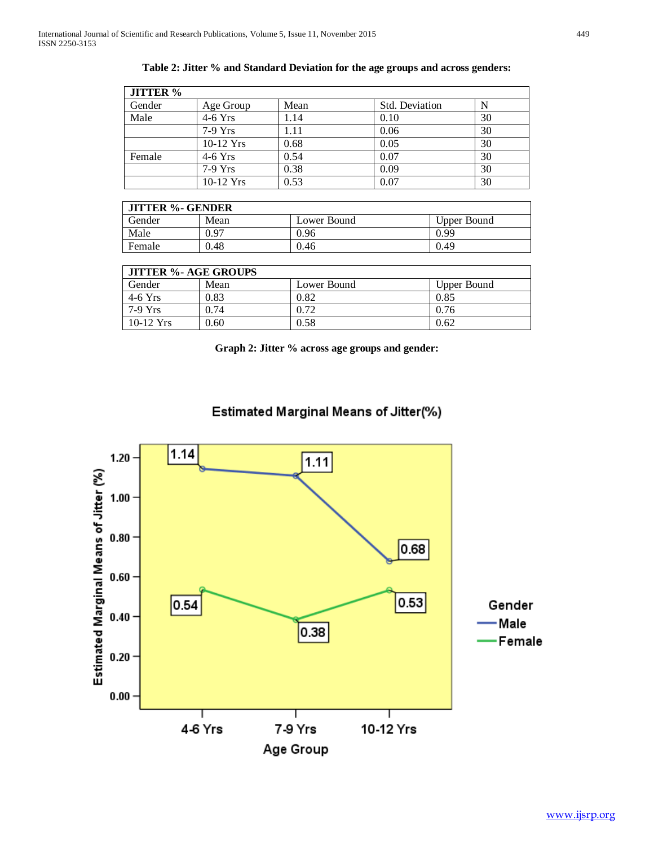| <b>JITTER %</b> |           |      |                |    |
|-----------------|-----------|------|----------------|----|
| Gender          | Age Group | Mean | Std. Deviation | N  |
| Male            | $4-6$ Yrs | 1.14 | 0.10           | 30 |
|                 | 7-9 Yrs   | 1.11 | 0.06           | 30 |
|                 | 10-12 Yrs | 0.68 | 0.05           | 30 |
| Female          | $4-6$ Yrs | 0.54 | 0.07           | 30 |
|                 | 7-9 Yrs   | 0.38 | 0.09           | 30 |
|                 | 10-12 Yrs | 0.53 | 0.07           | 30 |

| <b>JITTER %- GENDER</b> |      |             |             |  |
|-------------------------|------|-------------|-------------|--|
| Gender                  | Mean | Lower Bound | Upper Bound |  |
| Male                    | 0.97 | 0.96        | 0.99        |  |
| Female                  | 0.48 | 0.46        | 0.49        |  |

| <b>JITTER %- AGE GROUPS</b> |      |             |             |  |
|-----------------------------|------|-------------|-------------|--|
| Gender                      | Mean | Lower Bound | Upper Bound |  |
| $4-6$ Yrs                   | 0.83 | 0.82        | 0.85        |  |
| $7-9$ Yrs                   | 0.74 | 0.72        | 0.76        |  |
| $10-12$ Yrs                 | 0.60 | 0.58        | 0.62        |  |

**Graph 2: Jitter % across age groups and gender:**

Estimated Marginal Means of Jitter(%)

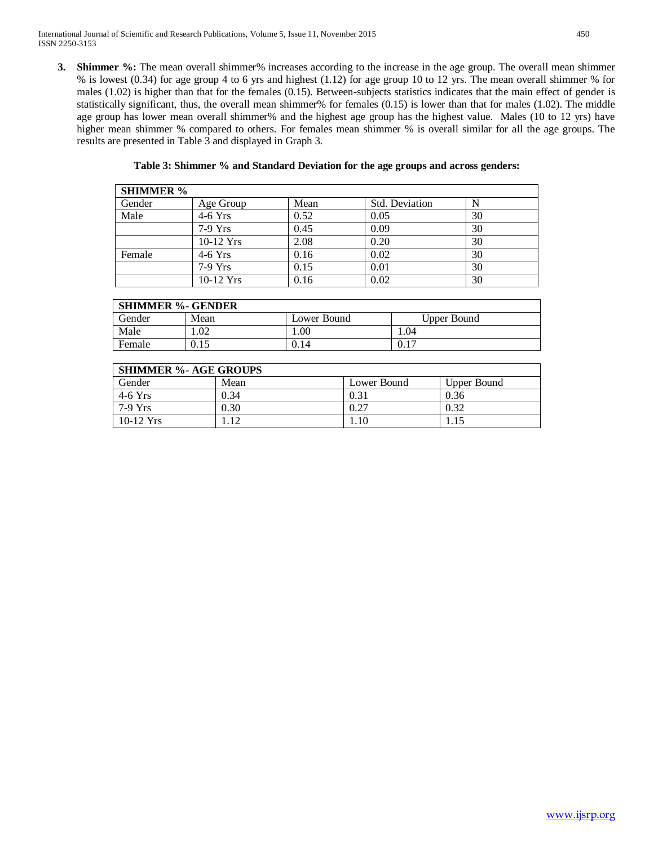**3. Shimmer %:** The mean overall shimmer% increases according to the increase in the age group. The overall mean shimmer % is lowest (0.34) for age group 4 to 6 yrs and highest (1.12) for age group 10 to 12 yrs. The mean overall shimmer % for males (1.02) is higher than that for the females (0.15). Between-subjects statistics indicates that the main effect of gender is statistically significant, thus, the overall mean shimmer% for females (0.15) is lower than that for males (1.02). The middle age group has lower mean overall shimmer% and the highest age group has the highest value. Males (10 to 12 yrs) have higher mean shimmer % compared to others. For females mean shimmer % is overall similar for all the age groups. The results are presented in Table 3 and displayed in Graph 3.

| Table 3: Shimmer % and Standard Deviation for the age groups and across genders: |  |
|----------------------------------------------------------------------------------|--|
|----------------------------------------------------------------------------------|--|

| <b>SHIMMER</b> % |             |      |                |    |
|------------------|-------------|------|----------------|----|
| Gender           | Age Group   | Mean | Std. Deviation | N  |
| Male             | $4-6$ Yrs   | 0.52 | 0.05           | 30 |
|                  | $7-9$ Yrs   | 0.45 | 0.09           | 30 |
|                  | $10-12$ Yrs | 2.08 | 0.20           | 30 |
| Female           | $4-6$ Yrs   | 0.16 | 0.02           | 30 |
|                  | $7-9$ Yrs   | 0.15 | 0.01           | 30 |
|                  | $10-12$ Yrs | 0.16 | 0.02           | 30 |

| <b>SHIMMER %- GENDER</b> |           |             |             |  |
|--------------------------|-----------|-------------|-------------|--|
| Gender                   | Mean      | Lower Bound | Upper Bound |  |
| Male                     | ഹ<br>L.VZ | .00         | 1.04        |  |
| Female                   | 0.15      | 0.14        | 0.1         |  |

| <b>SHIMMER %- AGE GROUPS</b> |      |             |             |  |
|------------------------------|------|-------------|-------------|--|
| Gender                       | Mean | Lower Bound | Upper Bound |  |
| $4-6$ Yrs                    | 0.34 | 0.31        | 0.36        |  |
| 7-9 Yrs                      | 0.30 | 0.27        | 0.32        |  |
| $10-12$ Yrs                  |      | 1.10        |             |  |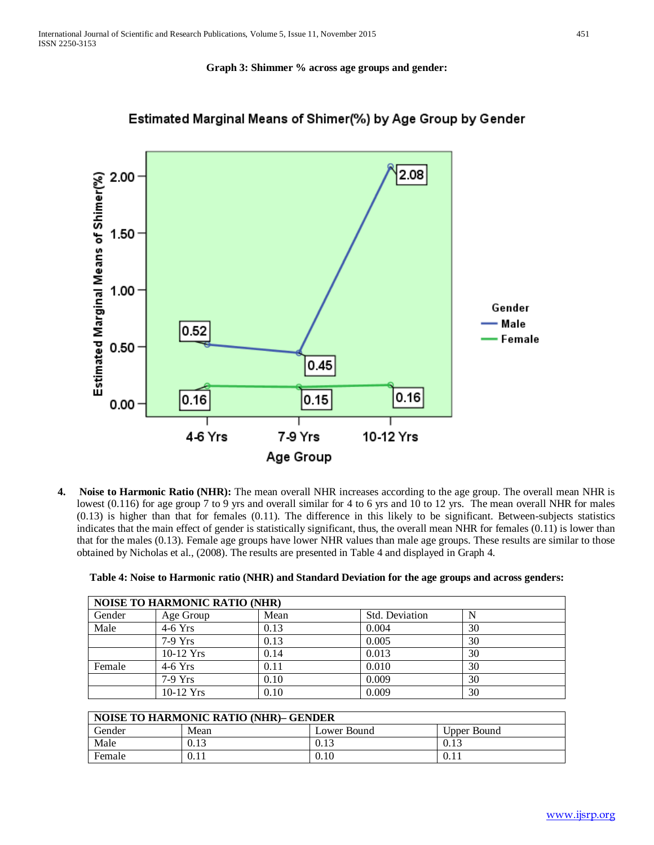### **Graph 3: Shimmer % across age groups and gender:**



# Estimated Marginal Means of Shimer(%) by Age Group by Gender

**4. Noise to Harmonic Ratio (NHR):** The mean overall NHR increases according to the age group. The overall mean NHR is lowest (0.116) for age group 7 to 9 yrs and overall similar for 4 to 6 yrs and 10 to 12 yrs. The mean overall NHR for males (0.13) is higher than that for females (0.11). The difference in this likely to be significant. Between-subjects statistics indicates that the main effect of gender is statistically significant, thus, the overall mean NHR for females (0.11) is lower than that for the males (0.13). Female age groups have lower NHR values than male age groups. These results are similar to those obtained by Nicholas et al., (2008). The results are presented in Table 4 and displayed in Graph 4.

| <b>NOISE TO HARMONIC RATIO (NHR)</b> |             |      |                       |    |
|--------------------------------------|-------------|------|-----------------------|----|
| Gender                               | Age Group   | Mean | <b>Std. Deviation</b> | N  |
| Male                                 | $4-6$ Yrs   | 0.13 | 0.004                 | 30 |
|                                      | $7-9$ Yrs   | 0.13 | 0.005                 | 30 |
|                                      | $10-12$ Yrs | 0.14 | 0.013                 | 30 |
| Female                               | $4-6$ Yrs   | 0.11 | 0.010                 | 30 |
|                                      | $7-9$ Yrs   | 0.10 | 0.009                 | 30 |
|                                      | $10-12$ Yrs | 0.10 | 0.009                 | 30 |

|  |  |  | Table 4: Noise to Harmonic ratio (NHR) and Standard Deviation for the age groups and across genders: |
|--|--|--|------------------------------------------------------------------------------------------------------|
|  |  |  |                                                                                                      |

| <b>NOISE TO HARMONIC RATIO (NHR)- GENDER</b> |      |             |             |  |
|----------------------------------------------|------|-------------|-------------|--|
| Gender                                       | Mean | Lower Bound | Upper Bound |  |
| Male                                         | 0.13 | U.I.        | 0.13        |  |
| Female                                       | 0.11 | 0.10        | V.II        |  |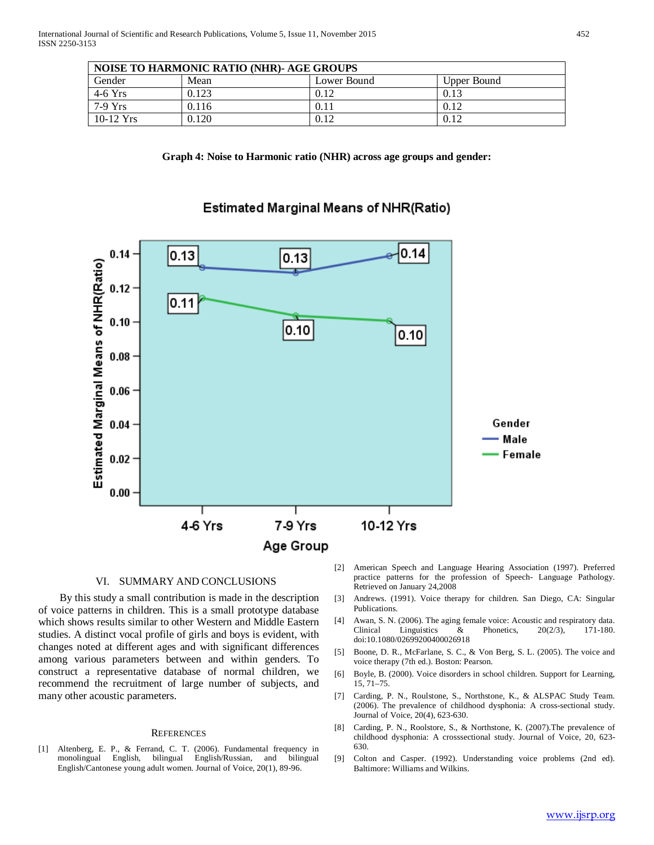| <b>NOISE TO HARMONIC RATIO (NHR)- AGE GROUPS</b> |       |             |             |  |
|--------------------------------------------------|-------|-------------|-------------|--|
| Gender                                           | Mean  | Lower Bound | Upper Bound |  |
| $4-6$ Yrs                                        | 0.123 | 0.12        | 0.13        |  |
| 7-9 Yrs                                          | 0.116 | 0.11        | 0.12        |  |
| $10-12$ Yrs                                      | 0.120 | 0.12        | 0.12        |  |





## Estimated Marginal Means of NHR(Ratio)

### VI. SUMMARY AND CONCLUSIONS

 By this study a small contribution is made in the description of voice patterns in children. This is a small prototype database which shows results similar to other Western and Middle Eastern studies. A distinct vocal profile of girls and boys is evident, with changes noted at different ages and with significant differences among various parameters between and within genders. To construct a representative database of normal children, we recommend the recruitment of large number of subjects, and many other acoustic parameters.

#### **REFERENCES**

[1] Altenberg, E. P., & Ferrand, C. T. (2006). Fundamental frequency in monolingual English, bilingual English/Russian, and bilingual English/Cantonese young adult women. Journal of Voice, 20(1), 89-96.

- [2] American Speech and Language Hearing Association (1997). Preferred practice patterns for the profession of Speech- Language Pathology. Retrieved on January 24,2008
- [3] Andrews. (1991). Voice therapy for children. San Diego, CA: Singular Publications.
- [4] Awan, S. N. (2006). The aging female voice: Acoustic and respiratory data. Clinical Linguistics & Phonetics, 20(2/3), 171-180. doi:10.1080/02699200400026918
- [5] Boone, D. R., McFarlane, S. C., & Von Berg, S. L. (2005). The voice and voice therapy (7th ed.). Boston: Pearson.
- [6] Boyle, B. (2000). Voice disorders in school children. Support for Learning, 15, 71–75.
- [7] Carding, P. N., Roulstone, S., Northstone, K., & ALSPAC Study Team. (2006). The prevalence of childhood dysphonia: A cross-sectional study. Journal of Voice, 20(4), 623-630.
- [8] Carding, P. N., Roolstore, S., & Northstone, K. (2007).The prevalence of childhood dysphonia: A crosssectional study. Journal of Voice, 20, 623- 630.
- [9] Colton and Casper. (1992). Understanding voice problems (2nd ed). Baltimore: Williams and Wilkins.